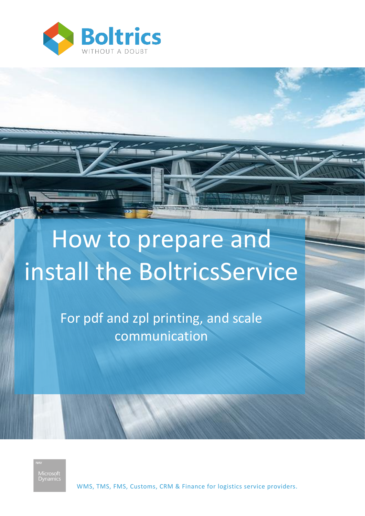

# How to prepare and install the BoltricsService

For pdf and zpl printing, and scale communication

Microso<mark>ft</mark><br>Dynamic:

WMS, TMS, FMS, Customs, CRM & Finance for logistics service providers.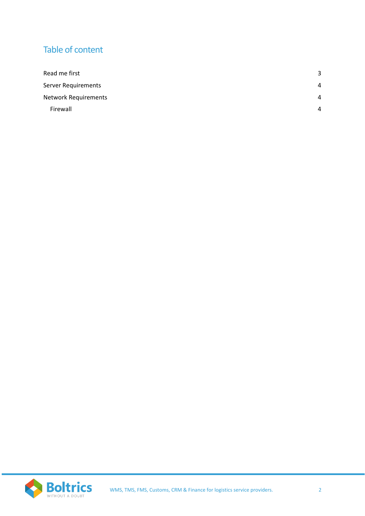# Table of content

| Read me first               | 3        |
|-----------------------------|----------|
| <b>Server Requirements</b>  | 4        |
| <b>Network Requirements</b> | $\Delta$ |
| Firewall                    | $\Delta$ |

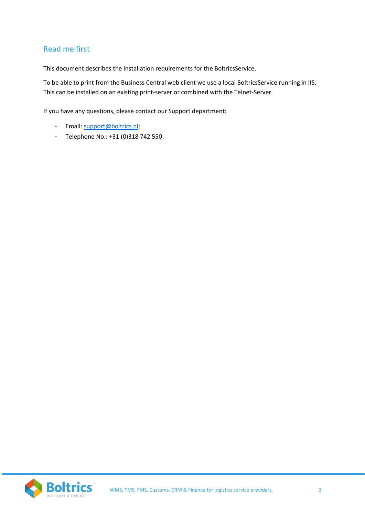# <span id="page-2-0"></span>Read me first

This document describes the installation requirements for the BoltricsService.

To be able to print from the Business Central web client we use a local BoltricsService running in IIS. This can be installed on an existing print-server or combined with the Telnet-Server.

If you have any questions, please contact our Support department:

- Email: [support@boltrics.nl;](mailto:support@boltrics.nl)
- Telephone No.: +31 (0)318 742 550.

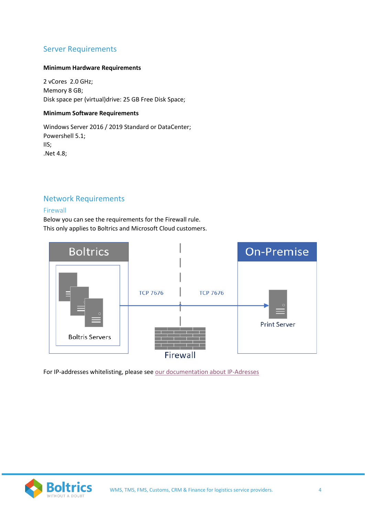## <span id="page-3-0"></span>Server Requirements

#### **Minimum Hardware Requirements**

2 vCores 2.0 GHz; Memory 8 GB; Disk space per (virtual)drive: 25 GB Free Disk Space;

#### **Minimum Software Requirements**

Windows Server 2016 / 2019 Standard or DataCenter; Powershell 5.1; IIS; .Net 4.8;

## <span id="page-3-1"></span>Network Requirements

#### <span id="page-3-2"></span>Firewall

Below you can see the requirements for the Firewall rule. This only applies to Boltrics and Microsoft Cloud customers.



For IP-addresses whitelisting, please see [our documentation about IP-Adresses](https://bpbcdownloads.blob.core.windows.net/documentation/IPAddresses/IPAdresses.pdf)